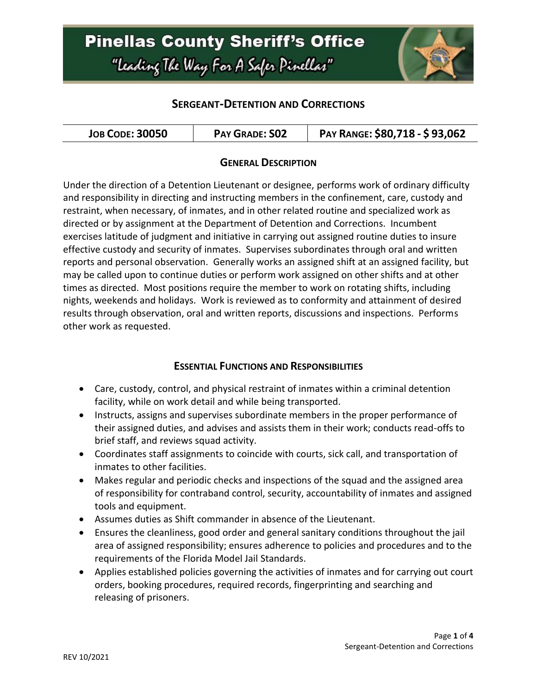

### **SERGEANT-DETENTION AND CORRECTIONS**

| <b>JOB CODE: 30050</b> | <b>PAY GRADE: SO2</b> | PAY RANGE: \$80,718 - \$93,062 |
|------------------------|-----------------------|--------------------------------|
|------------------------|-----------------------|--------------------------------|

#### **GENERAL DESCRIPTION**

Under the direction of a Detention Lieutenant or designee, performs work of ordinary difficulty and responsibility in directing and instructing members in the confinement, care, custody and restraint, when necessary, of inmates, and in other related routine and specialized work as directed or by assignment at the Department of Detention and Corrections. Incumbent exercises latitude of judgment and initiative in carrying out assigned routine duties to insure effective custody and security of inmates. Supervises subordinates through oral and written reports and personal observation. Generally works an assigned shift at an assigned facility, but may be called upon to continue duties or perform work assigned on other shifts and at other times as directed. Most positions require the member to work on rotating shifts, including nights, weekends and holidays. Work is reviewed as to conformity and attainment of desired results through observation, oral and written reports, discussions and inspections. Performs other work as requested.

#### **ESSENTIAL FUNCTIONS AND RESPONSIBILITIES**

- Care, custody, control, and physical restraint of inmates within a criminal detention facility, while on work detail and while being transported.
- Instructs, assigns and supervises subordinate members in the proper performance of their assigned duties, and advises and assists them in their work; conducts read-offs to brief staff, and reviews squad activity.
- Coordinates staff assignments to coincide with courts, sick call, and transportation of inmates to other facilities.
- Makes regular and periodic checks and inspections of the squad and the assigned area of responsibility for contraband control, security, accountability of inmates and assigned tools and equipment.
- Assumes duties as Shift commander in absence of the Lieutenant.
- Ensures the cleanliness, good order and general sanitary conditions throughout the jail area of assigned responsibility; ensures adherence to policies and procedures and to the requirements of the Florida Model Jail Standards.
- Applies established policies governing the activities of inmates and for carrying out court orders, booking procedures, required records, fingerprinting and searching and releasing of prisoners.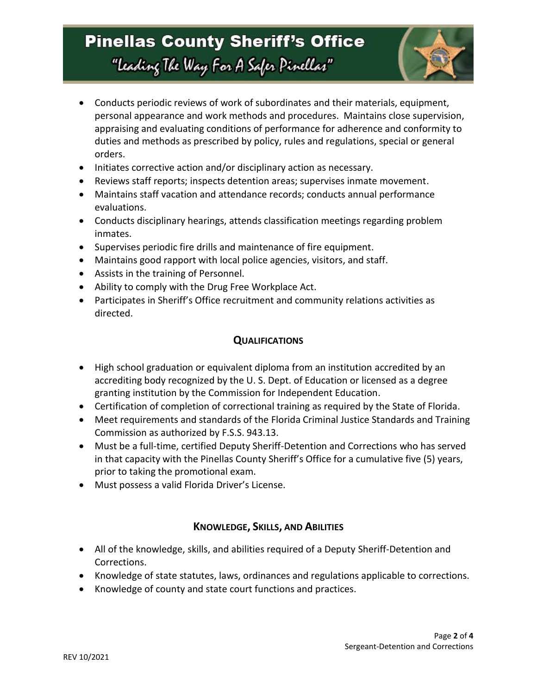

- Conducts periodic reviews of work of subordinates and their materials, equipment, personal appearance and work methods and procedures. Maintains close supervision, appraising and evaluating conditions of performance for adherence and conformity to duties and methods as prescribed by policy, rules and regulations, special or general orders.
- Initiates corrective action and/or disciplinary action as necessary.
- Reviews staff reports; inspects detention areas; supervises inmate movement.
- Maintains staff vacation and attendance records; conducts annual performance evaluations.
- Conducts disciplinary hearings, attends classification meetings regarding problem inmates.
- Supervises periodic fire drills and maintenance of fire equipment.
- Maintains good rapport with local police agencies, visitors, and staff.
- Assists in the training of Personnel.
- Ability to comply with the Drug Free Workplace Act.
- Participates in Sheriff's Office recruitment and community relations activities as directed.

#### **QUALIFICATIONS**

- High school graduation or equivalent diploma from an institution accredited by an accrediting body recognized by the U. S. Dept. of Education or licensed as a degree granting institution by the Commission for Independent Education.
- Certification of completion of correctional training as required by the State of Florida.
- Meet requirements and standards of the Florida Criminal Justice Standards and Training Commission as authorized by F.S.S. 943.13.
- Must be a full-time, certified Deputy Sheriff-Detention and Corrections who has served in that capacity with the Pinellas County Sheriff's Office for a cumulative five (5) years, prior to taking the promotional exam.
- Must possess a valid Florida Driver's License.

### **KNOWLEDGE, SKILLS, AND ABILITIES**

- All of the knowledge, skills, and abilities required of a Deputy Sheriff-Detention and Corrections.
- Knowledge of state statutes, laws, ordinances and regulations applicable to corrections.
- Knowledge of county and state court functions and practices.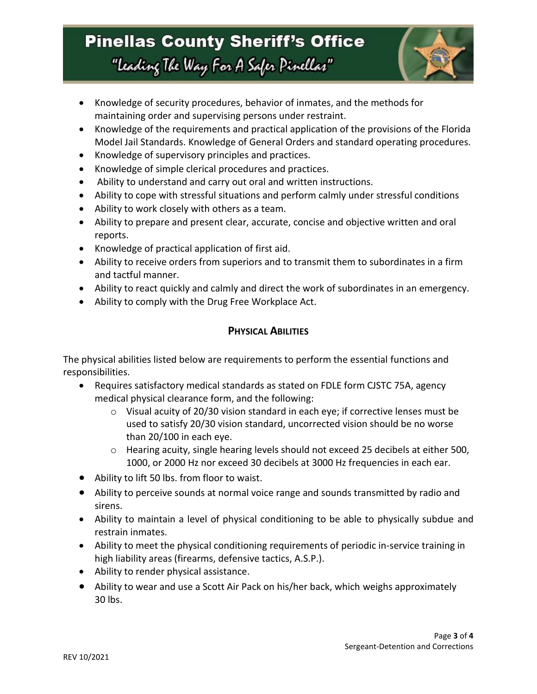

- Knowledge of security procedures, behavior of inmates, and the methods for maintaining order and supervising persons under restraint.
- Knowledge of the requirements and practical application of the provisions of the Florida Model Jail Standards. Knowledge of General Orders and standard operating procedures.
- Knowledge of supervisory principles and practices.
- Knowledge of simple clerical procedures and practices.
- Ability to understand and carry out oral and written instructions.
- Ability to cope with stressful situations and perform calmly under stressful conditions
- Ability to work closely with others as a team.
- Ability to prepare and present clear, accurate, concise and objective written and oral reports.
- Knowledge of practical application of first aid.
- Ability to receive orders from superiors and to transmit them to subordinates in a firm and tactful manner.
- Ability to react quickly and calmly and direct the work of subordinates in an emergency.
- Ability to comply with the Drug Free Workplace Act.

### **PHYSICAL ABILITIES**

The physical abilities listed below are requirements to perform the essential functions and responsibilities.

- Requires satisfactory medical standards as stated on FDLE form CJSTC 75A, agency medical physical clearance form, and the following:
	- $\circ$  Visual acuity of 20/30 vision standard in each eye; if corrective lenses must be used to satisfy 20/30 vision standard, uncorrected vision should be no worse than 20/100 in each eye.
	- $\circ$  Hearing acuity, single hearing levels should not exceed 25 decibels at either 500, 1000, or 2000 Hz nor exceed 30 decibels at 3000 Hz frequencies in each ear.
- Ability to lift 50 lbs. from floor to waist.
- Ability to perceive sounds at normal voice range and sounds transmitted by radio and sirens.
- Ability to maintain a level of physical conditioning to be able to physically subdue and restrain inmates.
- Ability to meet the physical conditioning requirements of periodic in-service training in high liability areas (firearms, defensive tactics, A.S.P.).
- Ability to render physical assistance.
- Ability to wear and use a Scott Air Pack on his/her back, which weighs approximately 30 lbs.